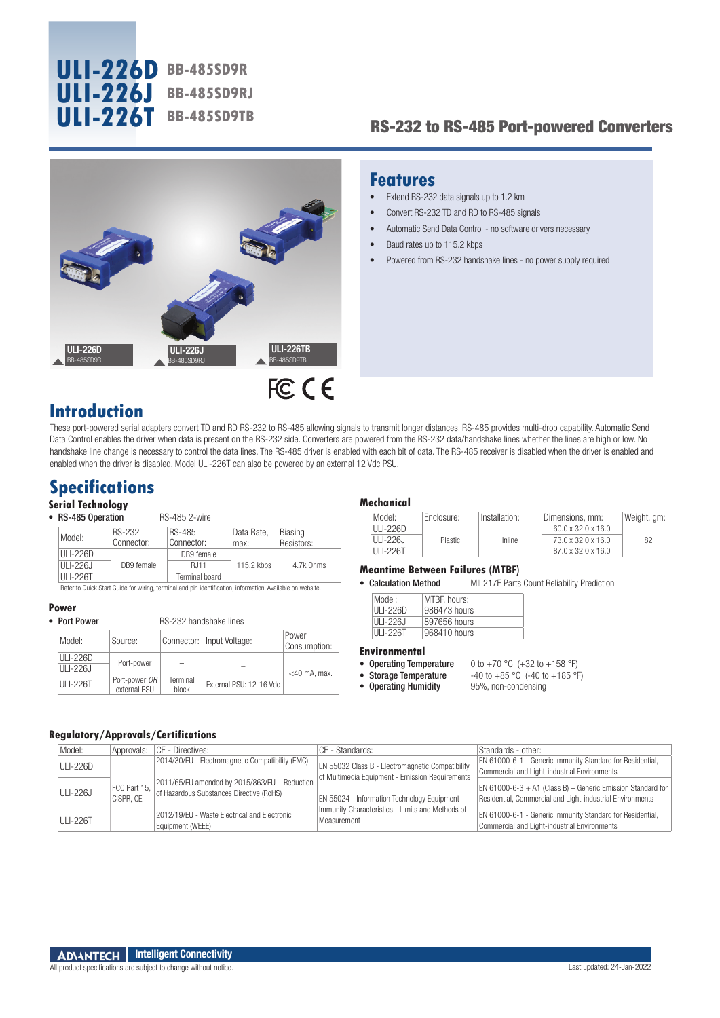

# RS-232 to RS-485 Port-powered Converters



## **Features**

- Extend RS-232 data signals up to 1.2 km
- Convert RS-232 TD and RD to RS-485 signals
- Automatic Send Data Control no software drivers necessary
- Baud rates up to 115.2 kbps
- Powered from RS-232 handshake lines no power supply required

# **Introduction**

These port-powered serial adapters convert TD and RD RS-232 to RS-485 allowing signals to transmit longer distances. RS-485 provides multi-drop capability. Automatic Send Data Control enables the driver when data is present on the RS-232 side. Converters are powered from the RS-232 data/handshake lines whether the lines are high or low. No handshake line change is necessary to control the data lines. The RS-485 driver is enabled with each bit of data. The RS-485 receiver is disabled when the driver is enabled and enabled when the driver is disabled. Model ULI-226T can also be powered by an external 12 Vdc PSU.

# **Specifications**

### **Serial Technology**

• RS-485 Operation RS-485 2-wire

|  | Model:   | RS-232     | RS-485         | Data Rate. | <b>Biasing</b> |
|--|----------|------------|----------------|------------|----------------|
|  |          | Connector: | Connector:     | max:       | Resistors:     |
|  | ULI-226D |            | DB9 female     | 115.2 kbps |                |
|  | ULI-226J | DB9 female | R.I11          |            | 4.7k Ohms      |
|  | ULI-226T |            | Terminal board |            |                |

Refer to Quick Start Guide for wiring, terminal and pin identification, information. Available on website.

RS-232 handshake lines

**Power**

| Model:               | Source:                       |                   | Connector:   Input Voltage: | Power<br>Consumption: |  |
|----------------------|-------------------------------|-------------------|-----------------------------|-----------------------|--|
| ULI-226D<br>ULI-226J | Port-power                    |                   |                             | $<$ 40 mA. max.       |  |
| ULI-226T             | Port-power OR<br>external PSU | Terminal<br>block | External PSU: 12-16 Vdc     |                       |  |

#### **Mechanical**

| Model:        | Enclosure:     | Installation: | Dimensions, mm:                | Weight, gm: |
|---------------|----------------|---------------|--------------------------------|-------------|
| ULI-226D      |                |               | $60.0 \times 32.0 \times 16.0$ |             |
| $III - 226.1$ | <b>Plastic</b> | Inline        | 73.0 x 32.0 x 16.0             | 82          |
| ULI-226T      |                |               | $87.0 \times 32.0 \times 16.0$ |             |

#### **Meantime Between Failures (MTBF)**

• Calculation Method MIL217F Parts Count Reliability Prediction

| Model:   | MTBF, hours: |
|----------|--------------|
| ULL-226D | 986473 hours |
| ULI-226J | 897656 hours |
| ULI-226T | 968410 hours |

#### **Environmental**

- 
- Operating Humidity

• Operating Temperature  $0$  to +70 °C (+32 to +158 °F)<br>• Storage Temperature  $-40$  to +85 °C (-40 to +185 °F) -40 to +85 °C (-40 to +185 °F)<br>95%, non-condensing

#### **Regulatory/Approvals/Certifications**

| Model:          |           | Approvals:   CE - Directives:                                                                          | CE - Standards:                                                                                  | Standards - other:                                                                                                         |
|-----------------|-----------|--------------------------------------------------------------------------------------------------------|--------------------------------------------------------------------------------------------------|----------------------------------------------------------------------------------------------------------------------------|
| <b>ULI-226D</b> |           | 2014/30/EU - Electromagnetic Compatibility (EMC)                                                       | EN 55032 Class B - Electromagnetic Compatibility                                                 | EN 61000-6-1 - Generic Immunity Standard for Residential,<br>Commercial and Light-industrial Environments                  |
| <b>ULI-226J</b> | CISPR. CE | FCC Part 15, 2011/65/EU amended by 2015/863/EU - Reduction<br>of Hazardous Substances Directive (RoHS) | of Multimedia Equipment - Emission Requirements<br>EN 55024 - Information Technology Equipment - | EN 61000-6-3 $+$ A1 (Class B) - Generic Emission Standard for<br>Residential, Commercial and Light-industrial Environments |
| <b>ULI-226T</b> |           | 2012/19/EU - Waste Electrical and Electronic<br>Equipment (WEEE)                                       | Immunity Characteristics - Limits and Methods of<br>Measurement                                  | EN 61000-6-1 - Generic Immunity Standard for Residential,<br>Commercial and Light-industrial Environments                  |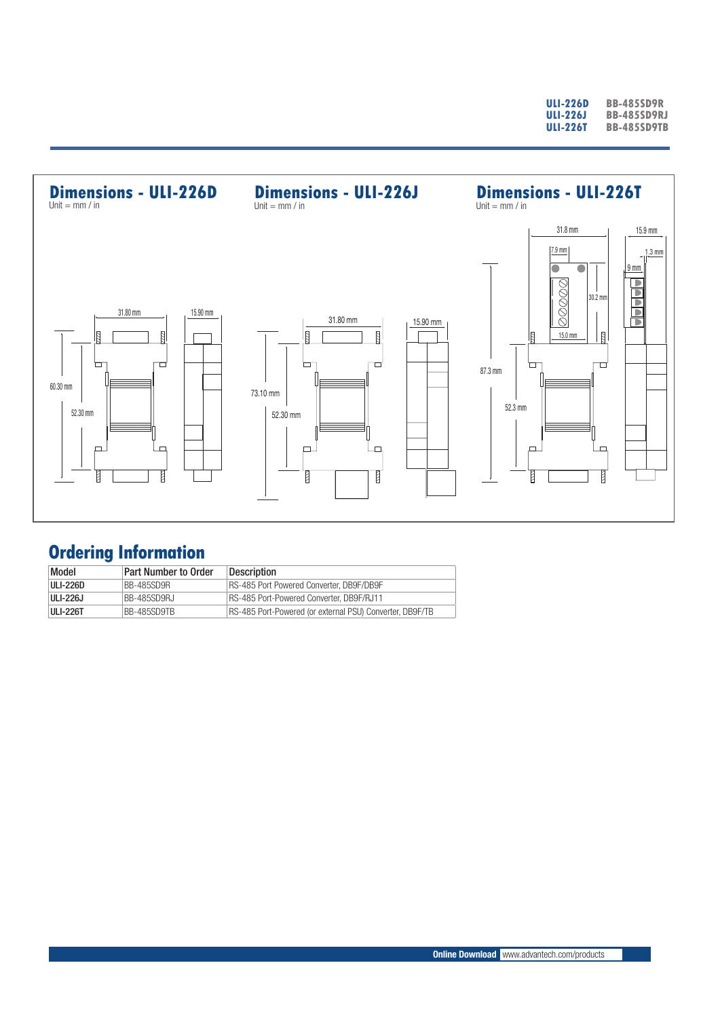| ULI-226D | <b>BB-485SD9R</b>  |
|----------|--------------------|
| ULI-226J | <b>BB-485SD9RJ</b> |
| ULI-226T | <b>BB-485SD9TB</b> |



# **Ordering Information**

| Model           | <b>Part Number to Order</b> | <b>Description</b>                                       |
|-----------------|-----------------------------|----------------------------------------------------------|
| <b>ULI-226D</b> | BB-485SD9R                  | RS-485 Port Powered Converter, DB9F/DB9F                 |
| ULI-226J        | BB-485SD9RJ                 | RS-485 Port-Powered Converter, DB9F/RJ11                 |
| <b>ULI-226T</b> | BB-485SD9TB                 | RS-485 Port-Powered (or external PSU) Converter, DB9F/TB |